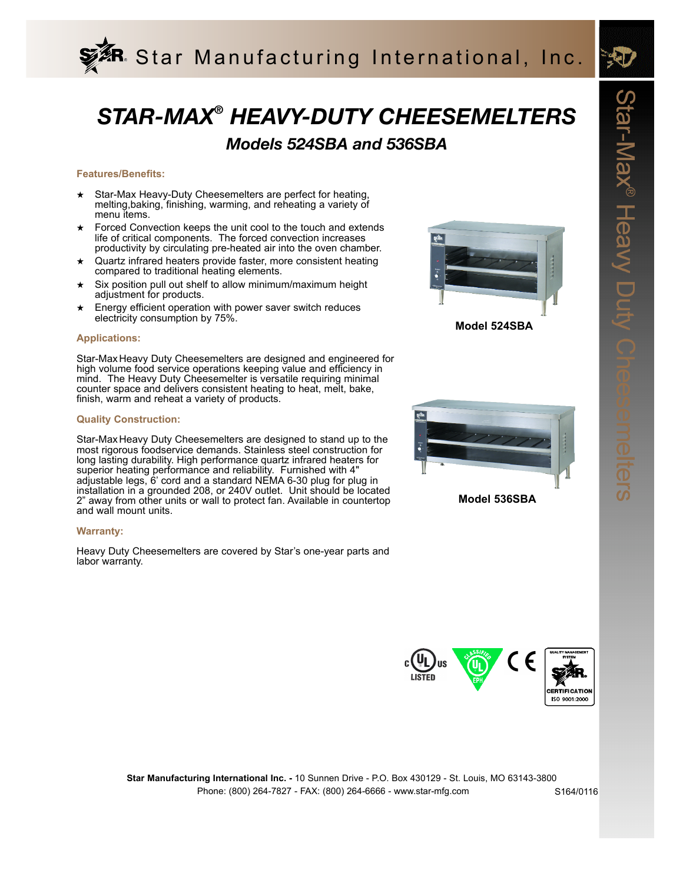

# *STAR-MAX® HEAVY-DUTY CHEESEMELTERS*

### *Models 524SBA and 536SBA*

### **Features/Benefits:**

- ★ Star-Max Heavy-Duty Cheesemelters are perfect for heating, melting,baking, finishing, warming, and reheating a variety of menu items.
- Forced Convection keeps the unit cool to the touch and extends life of critical components. The forced convection increases productivity by circulating pre-heated air into the oven chamber.
- Quartz infrared heaters provide faster, more consistent heating compared to traditional heating elements.
- ★ Six position pull out shelf to allow minimum/maximum height adjustment for products.
- ★ Energy efficient operation with power saver switch reduces electricity consumption by 75%.

### **Applications:**

Star-Max Heavy Duty Cheesemelters are designed and engineered for high volume food service operations keeping value and efficiency in mind. The Heavy Duty Cheesemelter is versatile requiring minimal counter space and delivers consistent heating to heat, melt, bake, finish, warm and reheat a variety of products.

### **Quality Construction:**

Star-Max Heavy Duty Cheesemelters are designed to stand up to the most rigorous foodservice demands. Stainless steel construction for long lasting durability. High performance quartz infrared heaters for superior heating performance and reliability. Furnished with 4" adjustable legs, 6' cord and a standard NEMA 6-30 plug for plug in installation in a grounded 208, or 240V outlet. Unit should be located 2" away from other units or wall to protect fan. Available in countertop and wall mount units.

#### **Warranty:**

Heavy Duty Cheesemelters are covered by Star's one-year parts and labor warranty.







**Model 536SBA**



Phone: (800) 264-7827 - FAX: (800) 264-6666 - www.star-mfg.com **Star Manufacturing International Inc. -** 10 Sunnen Drive - P.O. Box 430129 - St. Louis, MO 63143-3800

S164/0116